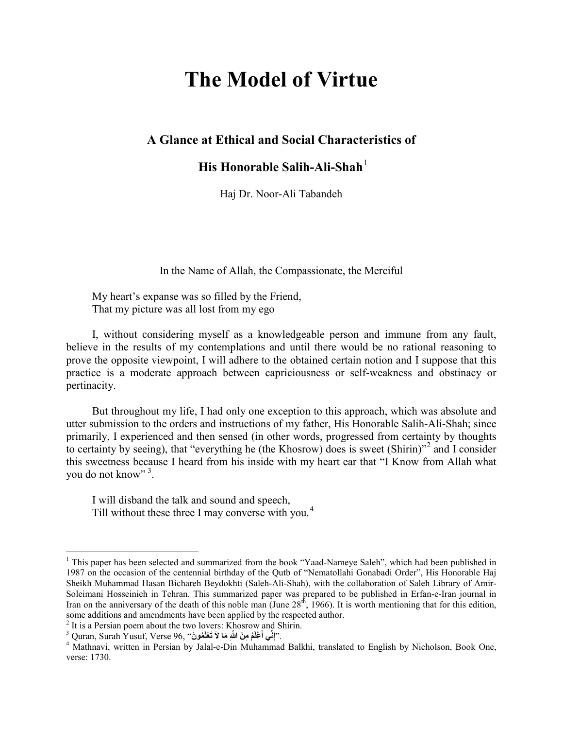# **The Model of Virtue**

## **A Glance at Ethical and Social Characteristics of**

# **His Honorable Salih-Ali-Shah**[1](#page-0-0)

Haj Dr. Noor-Ali Tabandeh

In the Name of Allah, the Compassionate, the Merciful

My heart's expanse was so filled by the Friend, That my picture was all lost from my ego

I, without considering myself as a knowledgeable person and immune from any fault, believe in the results of my contemplations and until there would be no rational reasoning to prove the opposite viewpoint, I will adhere to the obtained certain notion and I suppose that this practice is a moderate approach between capriciousness or self-weakness and obstinacy or pertinacity.

But throughout my life, I had only one exception to this approach, which was absolute and utter submission to the orders and instructions of my father, His Honorable Salih-Ali-Shah; since primarily, I experienced and then sensed (in other words, progressed from certainty by thoughts to certainty by seeing), that "everything he (the Khosrow) does is sweet (Shirin)"[2](#page-0-1) and I consider this sweetness because I heard from his inside with my heart ear that "I Know from Allah what you do not know"<sup>[3](#page-0-2)</sup>.

I will disband the talk and sound and speech, Till without these three I may converse with you.<sup>[4](#page-0-3)</sup>

**.** 

<span id="page-0-0"></span><sup>&</sup>lt;sup>1</sup> This paper has been selected and summarized from the book "Yaad-Nameye Saleh", which had been published in 1987 on the occasion of the centennial birthday of the Qutb of "Nematollahi Gonabadi Order", His Honorable Haj Sheikh Muhammad Hasan Bichareh Beydokhti (Saleh-Ali-Shah), with the collaboration of Saleh Library of Amir-Soleimani Hosseinieh in Tehran. This summarized paper was prepared to be published in Erfan-e-Iran journal in Iran on the anniversary of the death of this noble man (June  $28<sup>th</sup>$ , 1966). It is worth mentioning that for this edition, some additions and amendments have been applied by the respected author.

<span id="page-0-1"></span><sup>2</sup> It is a Persian poem about the two lovers: Khosrow and Shirin.

<sup>3</sup> Quran, Surah Yusuf, Verse 96, "**ونَ مُ َ َ ْعل َ ت ِ َ ما لا ُم ِ م َن ّ الله َ ْعل ِّي أ ِن َ**

<span id="page-0-3"></span><span id="page-0-2"></span><sup>&</sup>lt;sup>4</sup> Mathnavi, written in Persian by Jalal-e-Din Muhammad Balkhi, translated to English by Nicholson, Book One, verse: 1730.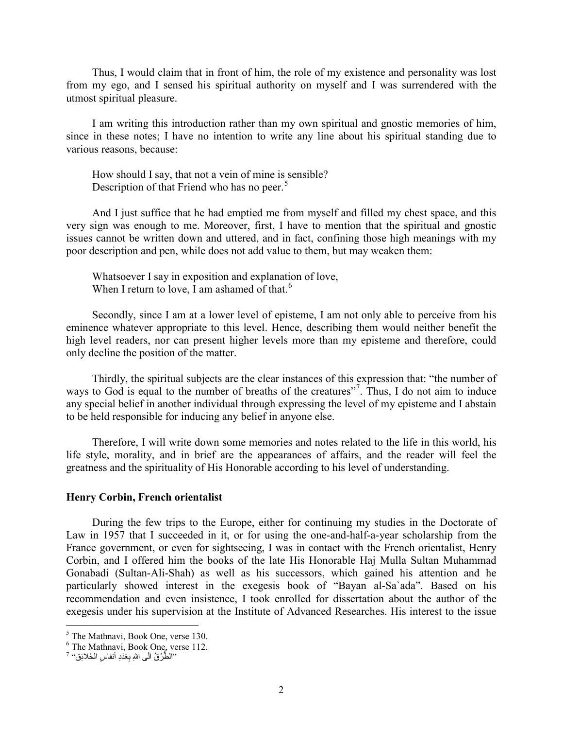Thus, I would claim that in front of him, the role of my existence and personality was lost from my ego, and I sensed his spiritual authority on myself and I was surrendered with the utmost spiritual pleasure.

I am writing this introduction rather than my own spiritual and gnostic memories of him, since in these notes; I have no intention to write any line about his spiritual standing due to various reasons, because:

How should I say, that not a vein of mine is sensible? Description of that Friend who has no peer.<sup>[5](#page-1-0)</sup>

And I just suffice that he had emptied me from myself and filled my chest space, and this very sign was enough to me. Moreover, first, I have to mention that the spiritual and gnostic issues cannot be written down and uttered, and in fact, confining those high meanings with my poor description and pen, while does not add value to them, but may weaken them:

Whatsoever I say in exposition and explanation of love, When I return to love, I am ashamed of that.<sup>[6](#page-1-1)</sup>

Secondly, since I am at a lower level of episteme, I am not only able to perceive from his eminence whatever appropriate to this level. Hence, describing them would neither benefit the high level readers, nor can present higher levels more than my episteme and therefore, could only decline the position of the matter.

Thirdly, the spiritual subjects are the clear instances of this expression that: "the number of ways to God is equal to the number of breaths of the creatures"<sup>[7](#page-1-2)</sup>. Thus, I do not aim to induce any special belief in another individual through expressing the level of my episteme and I abstain to be held responsible for inducing any belief in anyone else.

Therefore, I will write down some memories and notes related to the life in this world, his life style, morality, and in brief are the appearances of affairs, and the reader will feel the greatness and the spirituality of His Honorable according to his level of understanding.

#### **Henry Corbin, French orientalist**

During the few trips to the Europe, either for continuing my studies in the Doctorate of Law in 1957 that I succeeded in it, or for using the one-and-half-a-year scholarship from the France government, or even for sightseeing, I was in contact with the French orientalist, Henry Corbin, and I offered him the books of the late His Honorable Haj Mulla Sultan Muhammad Gonabadi (Sultan-Ali-Shah) as well as his successors, which gained his attention and he particularly showed interest in the exegesis book of "Bayan al-Sa`ada". Based on his recommendation and even insistence, I took enrolled for dissertation about the author of the exegesis under his supervision at the Institute of Advanced Researches. His interest to the issue

**.** 

<span id="page-1-1"></span>

<span id="page-1-0"></span> $^5$  The Mathnavi, Book One, verse 130.<br> $^6$  The Mathnavi, Book One, verse 112.<br>"الطَّرْقُ الَّـى اللهِ بِعَدَدِ ٱنفاسِ الخَلائِقَ"

<span id="page-1-2"></span>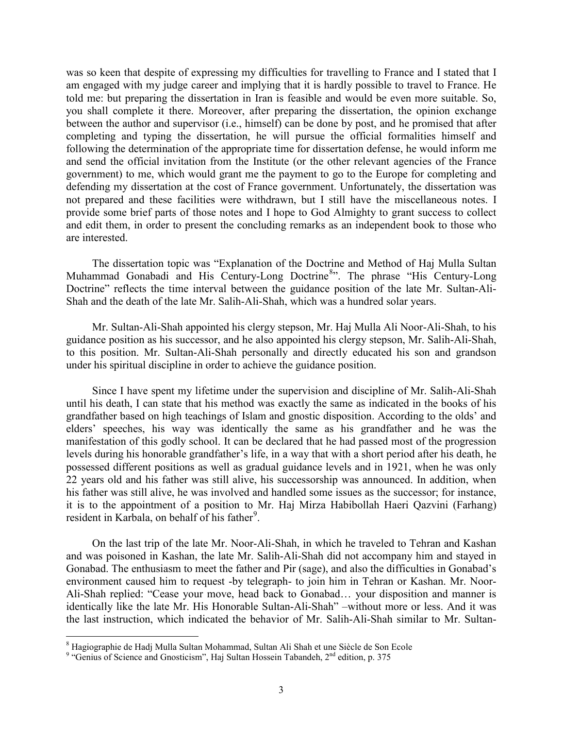was so keen that despite of expressing my difficulties for travelling to France and I stated that I am engaged with my judge career and implying that it is hardly possible to travel to France. He told me: but preparing the dissertation in Iran is feasible and would be even more suitable. So, you shall complete it there. Moreover, after preparing the dissertation, the opinion exchange between the author and supervisor (i.e., himself) can be done by post, and he promised that after completing and typing the dissertation, he will pursue the official formalities himself and following the determination of the appropriate time for dissertation defense, he would inform me and send the official invitation from the Institute (or the other relevant agencies of the France government) to me, which would grant me the payment to go to the Europe for completing and defending my dissertation at the cost of France government. Unfortunately, the dissertation was not prepared and these facilities were withdrawn, but I still have the miscellaneous notes. I provide some brief parts of those notes and I hope to God Almighty to grant success to collect and edit them, in order to present the concluding remarks as an independent book to those who are interested.

The dissertation topic was "Explanation of the Doctrine and Method of Haj Mulla Sultan Muhammad Gonabadi and His Century-Long Doctrine<sup>[8](#page-2-0)</sup>". The phrase "His Century-Long Doctrine" reflects the time interval between the guidance position of the late Mr. Sultan-Ali-Shah and the death of the late Mr. Salih-Ali-Shah, which was a hundred solar years.

Mr. Sultan-Ali-Shah appointed his clergy stepson, Mr. Haj Mulla Ali Noor-Ali-Shah, to his guidance position as his successor, and he also appointed his clergy stepson, Mr. Salih-Ali-Shah, to this position. Mr. Sultan-Ali-Shah personally and directly educated his son and grandson under his spiritual discipline in order to achieve the guidance position.

Since I have spent my lifetime under the supervision and discipline of Mr. Salih-Ali-Shah until his death, I can state that his method was exactly the same as indicated in the books of his grandfather based on high teachings of Islam and gnostic disposition. According to the olds' and elders' speeches, his way was identically the same as his grandfather and he was the manifestation of this godly school. It can be declared that he had passed most of the progression levels during his honorable grandfather's life, in a way that with a short period after his death, he possessed different positions as well as gradual guidance levels and in 1921, when he was only 22 years old and his father was still alive, his successorship was announced. In addition, when his father was still alive, he was involved and handled some issues as the successor; for instance, it is to the appointment of a position to Mr. Haj Mirza Habibollah Haeri Qazvini (Farhang) resident in Karbala, on behalf of his father<sup>9</sup>.

On the last trip of the late Mr. Noor-Ali-Shah, in which he traveled to Tehran and Kashan and was poisoned in Kashan, the late Mr. Salih-Ali-Shah did not accompany him and stayed in Gonabad. The enthusiasm to meet the father and Pir (sage), and also the difficulties in Gonabad's environment caused him to request -by telegraph- to join him in Tehran or Kashan. Mr. Noor-Ali-Shah replied: "Cease your move, head back to Gonabad… your disposition and manner is identically like the late Mr. His Honorable Sultan-Ali-Shah" –without more or less. And it was the last instruction, which indicated the behavior of Mr. Salih-Ali-Shah similar to Mr. Sultan-

<sup>&</sup>lt;sup>8</sup> Hagiographie de Hadj Mulla Sultan Mohammad, Sultan Ali Shah et une Siècle de Son Ecole

<span id="page-2-0"></span><sup>&</sup>lt;sup>9</sup> "Genius of Science and Gnosticism", Haj Sultan Hossein Tabandeh,  $2<sup>nd</sup>$  edition, p. 375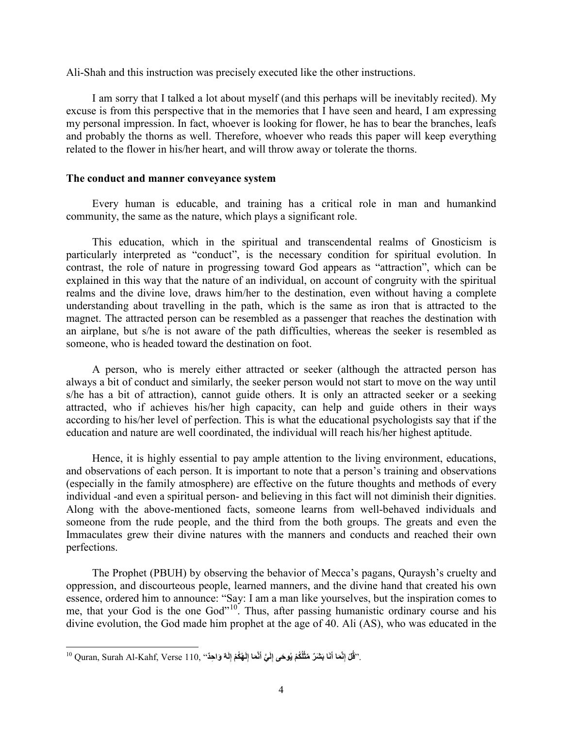Ali-Shah and this instruction was precisely executed like the other instructions.

I am sorry that I talked a lot about myself (and this perhaps will be inevitably recited). My excuse is from this perspective that in the memories that I have seen and heard, I am expressing my personal impression. In fact, whoever is looking for flower, he has to bear the branches, leafs and probably the thorns as well. Therefore, whoever who reads this paper will keep everything related to the flower in his/her heart, and will throw away or tolerate the thorns.

#### **The conduct and manner conveyance system**

Every human is educable, and training has a critical role in man and humankind community, the same as the nature, which plays a significant role.

This education, which in the spiritual and transcendental realms of Gnosticism is particularly interpreted as "conduct", is the necessary condition for spiritual evolution. In contrast, the role of nature in progressing toward God appears as "attraction", which can be explained in this way that the nature of an individual, on account of congruity with the spiritual realms and the divine love, draws him/her to the destination, even without having a complete understanding about travelling in the path, which is the same as iron that is attracted to the magnet. The attracted person can be resembled as a passenger that reaches the destination with an airplane, but s/he is not aware of the path difficulties, whereas the seeker is resembled as someone, who is headed toward the destination on foot.

A person, who is merely either attracted or seeker (although the attracted person has always a bit of conduct and similarly, the seeker person would not start to move on the way until s/he has a bit of attraction), cannot guide others. It is only an attracted seeker or a seeking attracted, who if achieves his/her high capacity, can help and guide others in their ways according to his/her level of perfection. This is what the educational psychologists say that if the education and nature are well coordinated, the individual will reach his/her highest aptitude.

Hence, it is highly essential to pay ample attention to the living environment, educations, and observations of each person. It is important to note that a person's training and observations (especially in the family atmosphere) are effective on the future thoughts and methods of every individual -and even a spiritual person- and believing in this fact will not diminish their dignities. Along with the above-mentioned facts, someone learns from well-behaved individuals and someone from the rude people, and the third from the both groups. The greats and even the Immaculates grew their divine natures with the manners and conducts and reached their own perfections.

The Prophet (PBUH) by observing the behavior of Mecca's pagans, Quraysh's cruelty and oppression, and discourteous people, learned manners, and the divine hand that created his own essence, ordered him to announce: "Say: I am a man like yourselves, but the inspiration comes to me, that your God is the one God"<sup>[10](#page-3-0)</sup>. Thus, after passing humanistic ordinary course and his divine evolution, the God made him prophet at the age of 40. Ali (AS), who was educated in the

<span id="page-3-0"></span><sup>.&#</sup>x27;'قُلْ إِنَّمَا أَنَا بَشَرٌ مَثْلُكُمْ يُوحَى إِلَيَّ أَنَّمَا إِلَهُكُمْ إِلَهٌ وَاحِدٌ'' Quran, Surah Al-Kahf, Verse 110, **َََّّ**1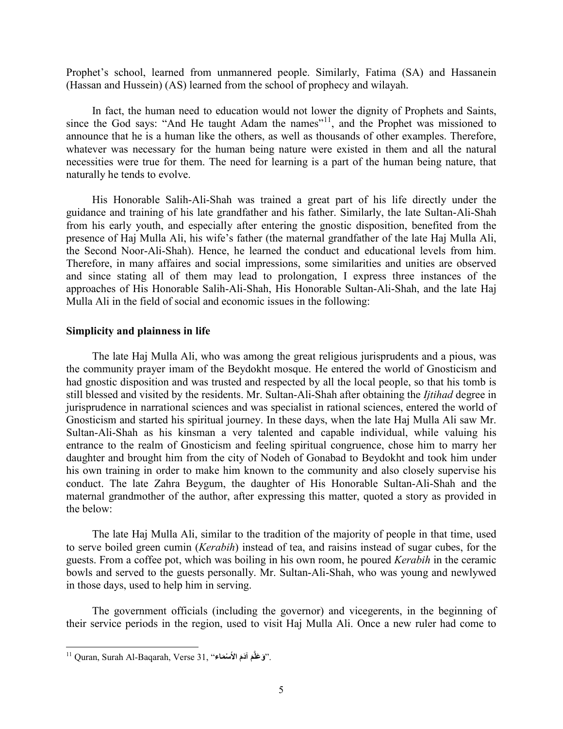Prophet's school, learned from unmannered people. Similarly, Fatima (SA) and Hassanein (Hassan and Hussein) (AS) learned from the school of prophecy and wilayah.

In fact, the human need to education would not lower the dignity of Prophets and Saints, since the God says: "And He taught Adam the names"<sup>[11](#page-4-0)</sup>, and the Prophet was missioned to announce that he is a human like the others, as well as thousands of other examples. Therefore, whatever was necessary for the human being nature were existed in them and all the natural necessities were true for them. The need for learning is a part of the human being nature, that naturally he tends to evolve.

His Honorable Salih-Ali-Shah was trained a great part of his life directly under the guidance and training of his late grandfather and his father. Similarly, the late Sultan-Ali-Shah from his early youth, and especially after entering the gnostic disposition, benefited from the presence of Haj Mulla Ali, his wife's father (the maternal grandfather of the late Haj Mulla Ali, the Second Noor-Ali-Shah). Hence, he learned the conduct and educational levels from him. Therefore, in many affaires and social impressions, some similarities and unities are observed and since stating all of them may lead to prolongation, I express three instances of the approaches of His Honorable Salih-Ali-Shah, His Honorable Sultan-Ali-Shah, and the late Haj Mulla Ali in the field of social and economic issues in the following:

## **Simplicity and plainness in life**

The late Haj Mulla Ali, who was among the great religious jurisprudents and a pious, was the community prayer imam of the Beydokht mosque. He entered the world of Gnosticism and had gnostic disposition and was trusted and respected by all the local people, so that his tomb is still blessed and visited by the residents. Mr. Sultan-Ali-Shah after obtaining the *Ijtihad* degree in jurisprudence in narrational sciences and was specialist in rational sciences, entered the world of Gnosticism and started his spiritual journey. In these days, when the late Haj Mulla Ali saw Mr. Sultan-Ali-Shah as his kinsman a very talented and capable individual, while valuing his entrance to the realm of Gnosticism and feeling spiritual congruence, chose him to marry her daughter and brought him from the city of Nodeh of Gonabad to Beydokht and took him under his own training in order to make him known to the community and also closely supervise his conduct. The late Zahra Beygum, the daughter of His Honorable Sultan-Ali-Shah and the maternal grandmother of the author, after expressing this matter, quoted a story as provided in the below:

The late Haj Mulla Ali, similar to the tradition of the majority of people in that time, used to serve boiled green cumin (*Kerabih*) instead of tea, and raisins instead of sugar cubes, for the guests. From a coffee pot, which was boiling in his own room, he poured *Kerabih* in the ceramic bowls and served to the guests personally. Mr. Sultan-Ali-Shah, who was young and newlywed in those days, used to help him in serving.

The government officials (including the governor) and vicegerents, in the beginning of their service periods in the region, used to visit Haj Mulla Ali. Once a new ruler had come to

<span id="page-4-0"></span> $^{\text{11}}$  Quran, Surah Al-Baqarah, Verse 31, ''فَالَّمَ أَلَمَ الأَسْعَاء $^{\text{21}}$ . **َ**1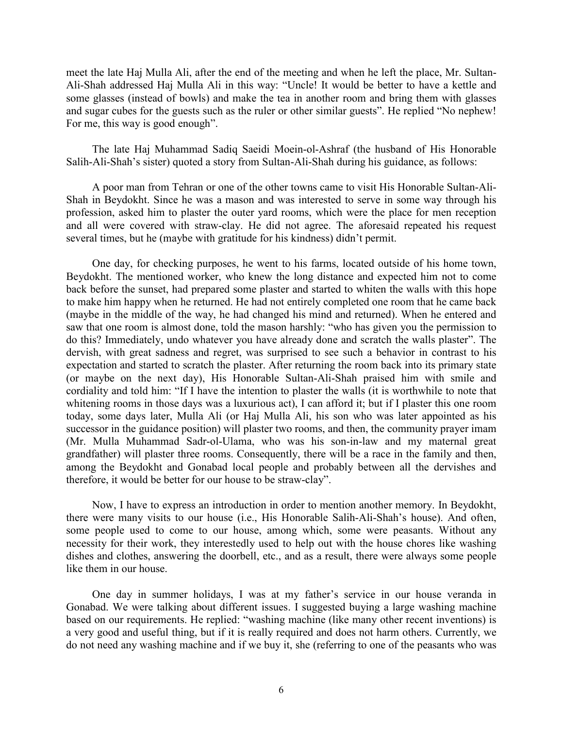meet the late Haj Mulla Ali, after the end of the meeting and when he left the place, Mr. Sultan-Ali-Shah addressed Haj Mulla Ali in this way: "Uncle! It would be better to have a kettle and some glasses (instead of bowls) and make the tea in another room and bring them with glasses and sugar cubes for the guests such as the ruler or other similar guests". He replied "No nephew! For me, this way is good enough".

The late Haj Muhammad Sadiq Saeidi Moein-ol-Ashraf (the husband of His Honorable Salih-Ali-Shah's sister) quoted a story from Sultan-Ali-Shah during his guidance, as follows:

A poor man from Tehran or one of the other towns came to visit His Honorable Sultan-Ali-Shah in Beydokht. Since he was a mason and was interested to serve in some way through his profession, asked him to plaster the outer yard rooms, which were the place for men reception and all were covered with straw-clay. He did not agree. The aforesaid repeated his request several times, but he (maybe with gratitude for his kindness) didn't permit.

One day, for checking purposes, he went to his farms, located outside of his home town, Beydokht. The mentioned worker, who knew the long distance and expected him not to come back before the sunset, had prepared some plaster and started to whiten the walls with this hope to make him happy when he returned. He had not entirely completed one room that he came back (maybe in the middle of the way, he had changed his mind and returned). When he entered and saw that one room is almost done, told the mason harshly: "who has given you the permission to do this? Immediately, undo whatever you have already done and scratch the walls plaster". The dervish, with great sadness and regret, was surprised to see such a behavior in contrast to his expectation and started to scratch the plaster. After returning the room back into its primary state (or maybe on the next day), His Honorable Sultan-Ali-Shah praised him with smile and cordiality and told him: "If I have the intention to plaster the walls (it is worthwhile to note that whitening rooms in those days was a luxurious act). I can afford it; but if I plaster this one room today, some days later, Mulla Ali (or Haj Mulla Ali, his son who was later appointed as his successor in the guidance position) will plaster two rooms, and then, the community prayer imam (Mr. Mulla Muhammad Sadr-ol-Ulama, who was his son-in-law and my maternal great grandfather) will plaster three rooms. Consequently, there will be a race in the family and then, among the Beydokht and Gonabad local people and probably between all the dervishes and therefore, it would be better for our house to be straw-clay".

Now, I have to express an introduction in order to mention another memory. In Beydokht, there were many visits to our house (i.e., His Honorable Salih-Ali-Shah's house). And often, some people used to come to our house, among which, some were peasants. Without any necessity for their work, they interestedly used to help out with the house chores like washing dishes and clothes, answering the doorbell, etc., and as a result, there were always some people like them in our house.

One day in summer holidays, I was at my father's service in our house veranda in Gonabad. We were talking about different issues. I suggested buying a large washing machine based on our requirements. He replied: "washing machine (like many other recent inventions) is a very good and useful thing, but if it is really required and does not harm others. Currently, we do not need any washing machine and if we buy it, she (referring to one of the peasants who was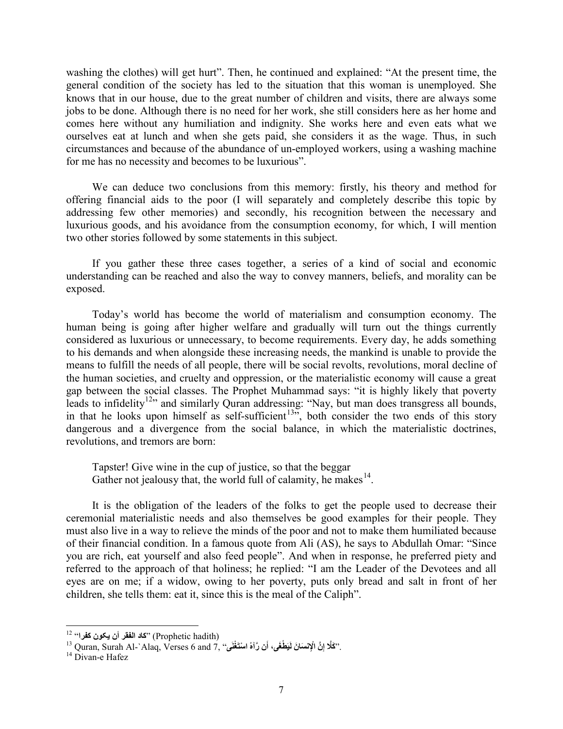washing the clothes) will get hurt". Then, he continued and explained: "At the present time, the general condition of the society has led to the situation that this woman is unemployed. She knows that in our house, due to the great number of children and visits, there are always some jobs to be done. Although there is no need for her work, she still considers here as her home and comes here without any humiliation and indignity. She works here and even eats what we ourselves eat at lunch and when she gets paid, she considers it as the wage. Thus, in such circumstances and because of the abundance of un-employed workers, using a washing machine for me has no necessity and becomes to be luxurious".

We can deduce two conclusions from this memory: firstly, his theory and method for offering financial aids to the poor (I will separately and completely describe this topic by addressing few other memories) and secondly, his recognition between the necessary and luxurious goods, and his avoidance from the consumption economy, for which, I will mention two other stories followed by some statements in this subject.

If you gather these three cases together, a series of a kind of social and economic understanding can be reached and also the way to convey manners, beliefs, and morality can be exposed.

Today's world has become the world of materialism and consumption economy. The human being is going after higher welfare and gradually will turn out the things currently considered as luxurious or unnecessary, to become requirements. Every day, he adds something to his demands and when alongside these increasing needs, the mankind is unable to provide the means to fulfill the needs of all people, there will be social revolts, revolutions, moral decline of the human societies, and cruelty and oppression, or the materialistic economy will cause a great gap between the social classes. The Prophet Muhammad says: "it is highly likely that poverty leads to infidelity<sup>12</sup>" and similarly Quran addressing: "Nay, but man does transgress all bounds, in that he looks upon himself as self-sufficient<sup>[13](#page-6-1)5</sup>, both consider the two ends of this story dangerous and a divergence from the social balance, in which the materialistic doctrines, revolutions, and tremors are born:

Tapster! Give wine in the cup of justice, so that the beggar Gather not jealousy that, the world full of calamity, he makes<sup>14</sup>.

It is the obligation of the leaders of the folks to get the people used to decrease their ceremonial materialistic needs and also themselves be good examples for their people. They must also live in a way to relieve the minds of the poor and not to make them humiliated because of their financial condition. In a famous quote from Ali (AS), he says to Abdullah Omar: "Since you are rich, eat yourself and also feed people". And when in response, he preferred piety and referred to the approach of that holiness; he replied: "I am the Leader of the Devotees and all eyes are on me; if a widow, owing to her poverty, puts only bread and salt in front of her children, she tells them: eat it, since this is the meal of the Caliph".

<span id="page-6-0"></span><sup>(</sup>Prophetic hadith) "كاد الفقر أن يكون كفرا" 12

<span id="page-6-1"></span><sup>&</sup>lt;sup>12</sup> اللفقر أن يكون كفرا<sup>،، 12</sup><br>3 Quran, Surah Al-`Alaq, Verses 6 and 7, ''كَلَّا إِنَّ الْإِنْسَانَ لَيَطْغَى، أَن رَّآهُ اسْتَغْنَى'' ,<sup>13</sup> Quran, Surah Al-`Alaq, Verses 6 and 7.

<span id="page-6-2"></span>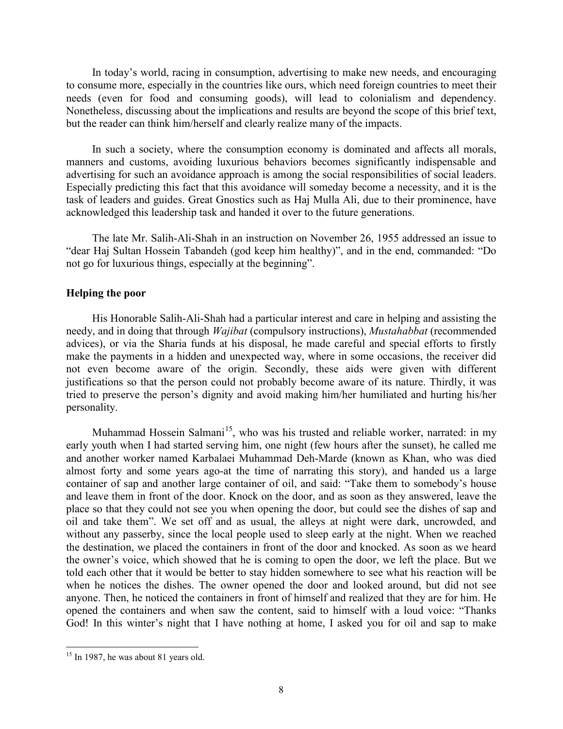In today's world, racing in consumption, advertising to make new needs, and encouraging to consume more, especially in the countries like ours, which need foreign countries to meet their needs (even for food and consuming goods), will lead to colonialism and dependency. Nonetheless, discussing about the implications and results are beyond the scope of this brief text, but the reader can think him/herself and clearly realize many of the impacts.

In such a society, where the consumption economy is dominated and affects all morals, manners and customs, avoiding luxurious behaviors becomes significantly indispensable and advertising for such an avoidance approach is among the social responsibilities of social leaders. Especially predicting this fact that this avoidance will someday become a necessity, and it is the task of leaders and guides. Great Gnostics such as Haj Mulla Ali, due to their prominence, have acknowledged this leadership task and handed it over to the future generations.

The late Mr. Salih-Ali-Shah in an instruction on November 26, 1955 addressed an issue to "dear Haj Sultan Hossein Tabandeh (god keep him healthy)", and in the end, commanded: "Do not go for luxurious things, especially at the beginning".

### **Helping the poor**

His Honorable Salih-Ali-Shah had a particular interest and care in helping and assisting the needy, and in doing that through *Wajibat* (compulsory instructions), *Mustahabbat* (recommended advices), or via the Sharia funds at his disposal, he made careful and special efforts to firstly make the payments in a hidden and unexpected way, where in some occasions, the receiver did not even become aware of the origin. Secondly, these aids were given with different justifications so that the person could not probably become aware of its nature. Thirdly, it was tried to preserve the person's dignity and avoid making him/her humiliated and hurting his/her personality.

Muhammad Hossein Salmani<sup>[15](#page-7-0)</sup>, who was his trusted and reliable worker, narrated: in my early youth when I had started serving him, one night (few hours after the sunset), he called me and another worker named Karbalaei Muhammad Deh-Marde (known as Khan, who was died almost forty and some years ago-at the time of narrating this story), and handed us a large container of sap and another large container of oil, and said: "Take them to somebody's house and leave them in front of the door. Knock on the door, and as soon as they answered, leave the place so that they could not see you when opening the door, but could see the dishes of sap and oil and take them". We set off and as usual, the alleys at night were dark, uncrowded, and without any passerby, since the local people used to sleep early at the night. When we reached the destination, we placed the containers in front of the door and knocked. As soon as we heard the owner's voice, which showed that he is coming to open the door, we left the place. But we told each other that it would be better to stay hidden somewhere to see what his reaction will be when he notices the dishes. The owner opened the door and looked around, but did not see anyone. Then, he noticed the containers in front of himself and realized that they are for him. He opened the containers and when saw the content, said to himself with a loud voice: "Thanks God! In this winter's night that I have nothing at home, I asked you for oil and sap to make

<span id="page-7-0"></span> $15$  In 1987, he was about 81 years old. 1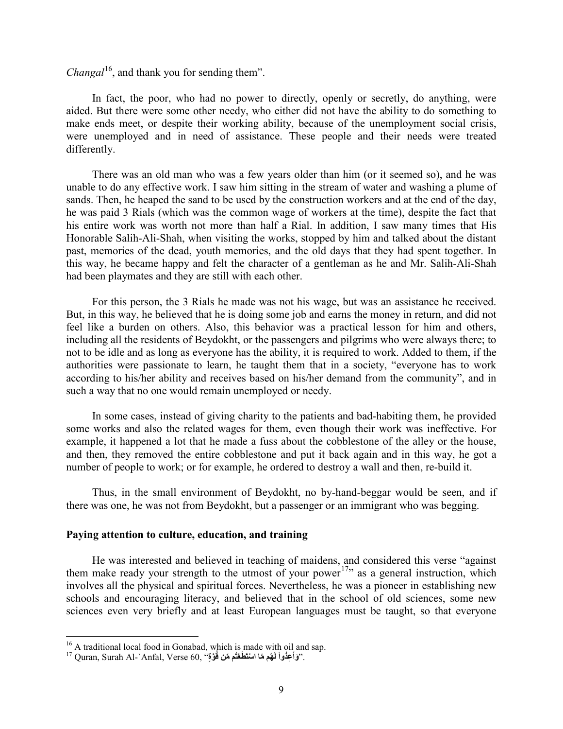*Changal*<sup>[16](#page-8-0)</sup>, and thank you for sending them".

In fact, the poor, who had no power to directly, openly or secretly, do anything, were aided. But there were some other needy, who either did not have the ability to do something to make ends meet, or despite their working ability, because of the unemployment social crisis, were unemployed and in need of assistance. These people and their needs were treated differently.

There was an old man who was a few years older than him (or it seemed so), and he was unable to do any effective work. I saw him sitting in the stream of water and washing a plume of sands. Then, he heaped the sand to be used by the construction workers and at the end of the day, he was paid 3 Rials (which was the common wage of workers at the time), despite the fact that his entire work was worth not more than half a Rial. In addition, I saw many times that His Honorable Salih-Ali-Shah, when visiting the works, stopped by him and talked about the distant past, memories of the dead, youth memories, and the old days that they had spent together. In this way, he became happy and felt the character of a gentleman as he and Mr. Salih-Ali-Shah had been playmates and they are still with each other.

For this person, the 3 Rials he made was not his wage, but was an assistance he received. But, in this way, he believed that he is doing some job and earns the money in return, and did not feel like a burden on others. Also, this behavior was a practical lesson for him and others, including all the residents of Beydokht, or the passengers and pilgrims who were always there; to not to be idle and as long as everyone has the ability, it is required to work. Added to them, if the authorities were passionate to learn, he taught them that in a society, "everyone has to work according to his/her ability and receives based on his/her demand from the community", and in such a way that no one would remain unemployed or needy.

In some cases, instead of giving charity to the patients and bad-habiting them, he provided some works and also the related wages for them, even though their work was ineffective. For example, it happened a lot that he made a fuss about the cobblestone of the alley or the house, and then, they removed the entire cobblestone and put it back again and in this way, he got a number of people to work; or for example, he ordered to destroy a wall and then, re-build it.

Thus, in the small environment of Beydokht, no by-hand-beggar would be seen, and if there was one, he was not from Beydokht, but a passenger or an immigrant who was begging.

#### **Paying attention to culture, education, and training**

He was interested and believed in teaching of maidens, and considered this verse "against them make ready your strength to the utmost of your power<sup>[17](#page-8-1)</sup><sup>,</sup> as a general instruction, which involves all the physical and spiritual forces. Nevertheless, he was a pioneer in establishing new schools and encouraging literacy, and believed that in the school of old sciences, some new sciences even very briefly and at least European languages must be taught, so that everyone

<span id="page-8-1"></span><span id="page-8-0"></span><sup>&</sup>lt;sup>16</sup> A traditional local food in Gonabad, which is made with oil and sap.

<sup>&</sup>lt;sup>16</sup> A traditional local food in Gonabad, which is made with oil and sap.<br><sup>17</sup> Quran, Surah Al-`Anfal, Verse 60, "وَأَعِثُواْ لَهُم مَا اسْتَطَعْتُم مَنْ قُوَّةٍ".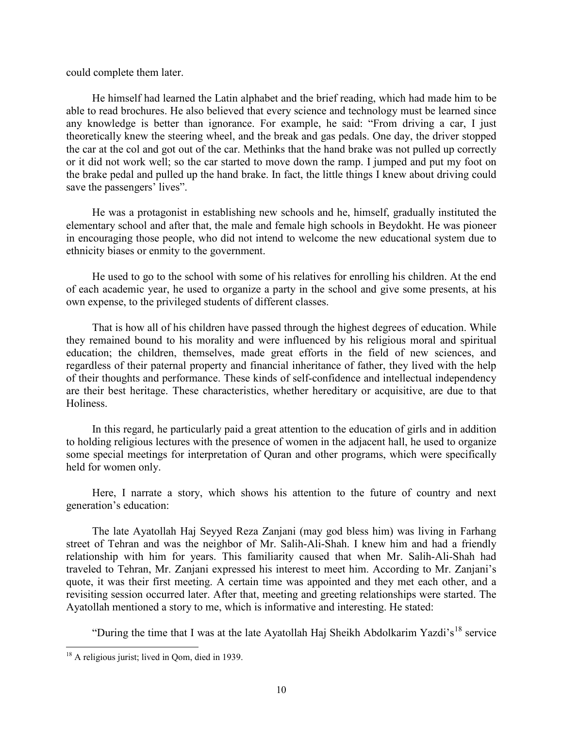could complete them later.

He himself had learned the Latin alphabet and the brief reading, which had made him to be able to read brochures. He also believed that every science and technology must be learned since any knowledge is better than ignorance. For example, he said: "From driving a car, I just theoretically knew the steering wheel, and the break and gas pedals. One day, the driver stopped the car at the col and got out of the car. Methinks that the hand brake was not pulled up correctly or it did not work well; so the car started to move down the ramp. I jumped and put my foot on the brake pedal and pulled up the hand brake. In fact, the little things I knew about driving could save the passengers' lives".

He was a protagonist in establishing new schools and he, himself, gradually instituted the elementary school and after that, the male and female high schools in Beydokht. He was pioneer in encouraging those people, who did not intend to welcome the new educational system due to ethnicity biases or enmity to the government.

He used to go to the school with some of his relatives for enrolling his children. At the end of each academic year, he used to organize a party in the school and give some presents, at his own expense, to the privileged students of different classes.

That is how all of his children have passed through the highest degrees of education. While they remained bound to his morality and were influenced by his religious moral and spiritual education; the children, themselves, made great efforts in the field of new sciences, and regardless of their paternal property and financial inheritance of father, they lived with the help of their thoughts and performance. These kinds of self-confidence and intellectual independency are their best heritage. These characteristics, whether hereditary or acquisitive, are due to that Holiness.

In this regard, he particularly paid a great attention to the education of girls and in addition to holding religious lectures with the presence of women in the adjacent hall, he used to organize some special meetings for interpretation of Quran and other programs, which were specifically held for women only.

Here, I narrate a story, which shows his attention to the future of country and next generation's education:

The late Ayatollah Haj Seyyed Reza Zanjani (may god bless him) was living in Farhang street of Tehran and was the neighbor of Mr. Salih-Ali-Shah. I knew him and had a friendly relationship with him for years. This familiarity caused that when Mr. Salih-Ali-Shah had traveled to Tehran, Mr. Zanjani expressed his interest to meet him. According to Mr. Zanjani's quote, it was their first meeting. A certain time was appointed and they met each other, and a revisiting session occurred later. After that, meeting and greeting relationships were started. The Ayatollah mentioned a story to me, which is informative and interesting. He stated:

"During the time that I was at the late Ayatollah Haj Sheikh Abdolkarim Yazdi's<sup>[18](#page-9-0)</sup> service

<span id="page-9-0"></span><sup>&</sup>lt;sup>18</sup> A religious jurist; lived in Qom, died in 1939. 1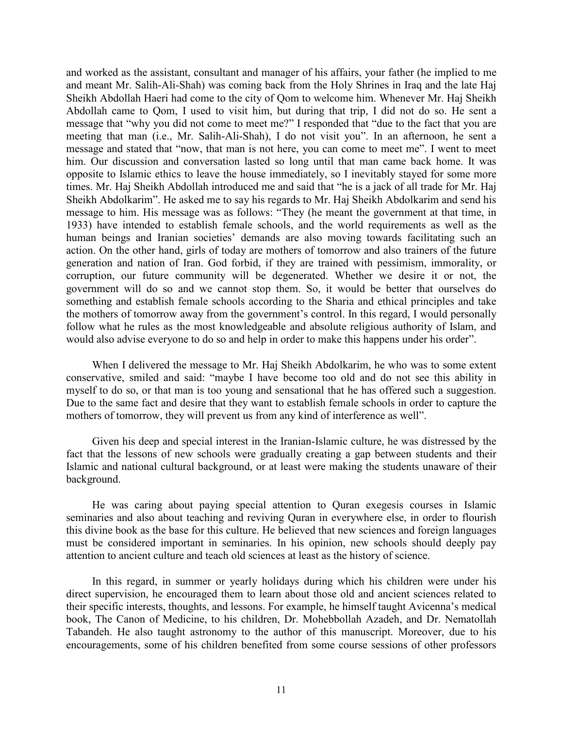and worked as the assistant, consultant and manager of his affairs, your father (he implied to me and meant Mr. Salih-Ali-Shah) was coming back from the Holy Shrines in Iraq and the late Haj Sheikh Abdollah Haeri had come to the city of Qom to welcome him. Whenever Mr. Haj Sheikh Abdollah came to Qom, I used to visit him, but during that trip, I did not do so. He sent a message that "why you did not come to meet me?" I responded that "due to the fact that you are meeting that man (i.e., Mr. Salih-Ali-Shah), I do not visit you". In an afternoon, he sent a message and stated that "now, that man is not here, you can come to meet me". I went to meet him. Our discussion and conversation lasted so long until that man came back home. It was opposite to Islamic ethics to leave the house immediately, so I inevitably stayed for some more times. Mr. Haj Sheikh Abdollah introduced me and said that "he is a jack of all trade for Mr. Haj Sheikh Abdolkarim". He asked me to say his regards to Mr. Haj Sheikh Abdolkarim and send his message to him. His message was as follows: "They (he meant the government at that time, in 1933) have intended to establish female schools, and the world requirements as well as the human beings and Iranian societies' demands are also moving towards facilitating such an action. On the other hand, girls of today are mothers of tomorrow and also trainers of the future generation and nation of Iran. God forbid, if they are trained with pessimism, immorality, or corruption, our future community will be degenerated. Whether we desire it or not, the government will do so and we cannot stop them. So, it would be better that ourselves do something and establish female schools according to the Sharia and ethical principles and take the mothers of tomorrow away from the government's control. In this regard, I would personally follow what he rules as the most knowledgeable and absolute religious authority of Islam, and would also advise everyone to do so and help in order to make this happens under his order".

When I delivered the message to Mr. Haj Sheikh Abdolkarim, he who was to some extent conservative, smiled and said: "maybe I have become too old and do not see this ability in myself to do so, or that man is too young and sensational that he has offered such a suggestion. Due to the same fact and desire that they want to establish female schools in order to capture the mothers of tomorrow, they will prevent us from any kind of interference as well".

Given his deep and special interest in the Iranian-Islamic culture, he was distressed by the fact that the lessons of new schools were gradually creating a gap between students and their Islamic and national cultural background, or at least were making the students unaware of their background.

He was caring about paying special attention to Quran exegesis courses in Islamic seminaries and also about teaching and reviving Quran in everywhere else, in order to flourish this divine book as the base for this culture. He believed that new sciences and foreign languages must be considered important in seminaries. In his opinion, new schools should deeply pay attention to ancient culture and teach old sciences at least as the history of science.

In this regard, in summer or yearly holidays during which his children were under his direct supervision, he encouraged them to learn about those old and ancient sciences related to their specific interests, thoughts, and lessons. For example, he himself taught Avicenna's medical book, The Canon of Medicine, to his children, Dr. Mohebbollah Azadeh, and Dr. Nematollah Tabandeh. He also taught astronomy to the author of this manuscript. Moreover, due to his encouragements, some of his children benefited from some course sessions of other professors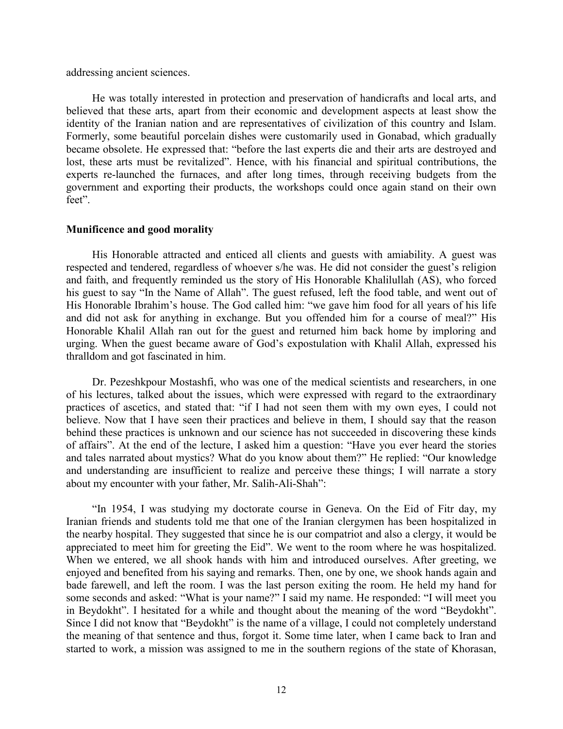addressing ancient sciences.

He was totally interested in protection and preservation of handicrafts and local arts, and believed that these arts, apart from their economic and development aspects at least show the identity of the Iranian nation and are representatives of civilization of this country and Islam. Formerly, some beautiful porcelain dishes were customarily used in Gonabad, which gradually became obsolete. He expressed that: "before the last experts die and their arts are destroyed and lost, these arts must be revitalized". Hence, with his financial and spiritual contributions, the experts re-launched the furnaces, and after long times, through receiving budgets from the government and exporting their products, the workshops could once again stand on their own feet".

## **Munificence and good morality**

His Honorable attracted and enticed all clients and guests with amiability. A guest was respected and tendered, regardless of whoever s/he was. He did not consider the guest's religion and faith, and frequently reminded us the story of His Honorable Khalilullah (AS), who forced his guest to say "In the Name of Allah". The guest refused, left the food table, and went out of His Honorable Ibrahim's house. The God called him: "we gave him food for all years of his life and did not ask for anything in exchange. But you offended him for a course of meal?" His Honorable Khalil Allah ran out for the guest and returned him back home by imploring and urging. When the guest became aware of God's expostulation with Khalil Allah, expressed his thralldom and got fascinated in him.

Dr. Pezeshkpour Mostashfi, who was one of the medical scientists and researchers, in one of his lectures, talked about the issues, which were expressed with regard to the extraordinary practices of ascetics, and stated that: "if I had not seen them with my own eyes, I could not believe. Now that I have seen their practices and believe in them, I should say that the reason behind these practices is unknown and our science has not succeeded in discovering these kinds of affairs". At the end of the lecture, I asked him a question: "Have you ever heard the stories and tales narrated about mystics? What do you know about them?" He replied: "Our knowledge and understanding are insufficient to realize and perceive these things; I will narrate a story about my encounter with your father, Mr. Salih-Ali-Shah":

"In 1954, I was studying my doctorate course in Geneva. On the Eid of Fitr day, my Iranian friends and students told me that one of the Iranian clergymen has been hospitalized in the nearby hospital. They suggested that since he is our compatriot and also a clergy, it would be appreciated to meet him for greeting the Eid". We went to the room where he was hospitalized. When we entered, we all shook hands with him and introduced ourselves. After greeting, we enjoyed and benefited from his saying and remarks. Then, one by one, we shook hands again and bade farewell, and left the room. I was the last person exiting the room. He held my hand for some seconds and asked: "What is your name?" I said my name. He responded: "I will meet you in Beydokht". I hesitated for a while and thought about the meaning of the word "Beydokht". Since I did not know that "Beydokht" is the name of a village, I could not completely understand the meaning of that sentence and thus, forgot it. Some time later, when I came back to Iran and started to work, a mission was assigned to me in the southern regions of the state of Khorasan,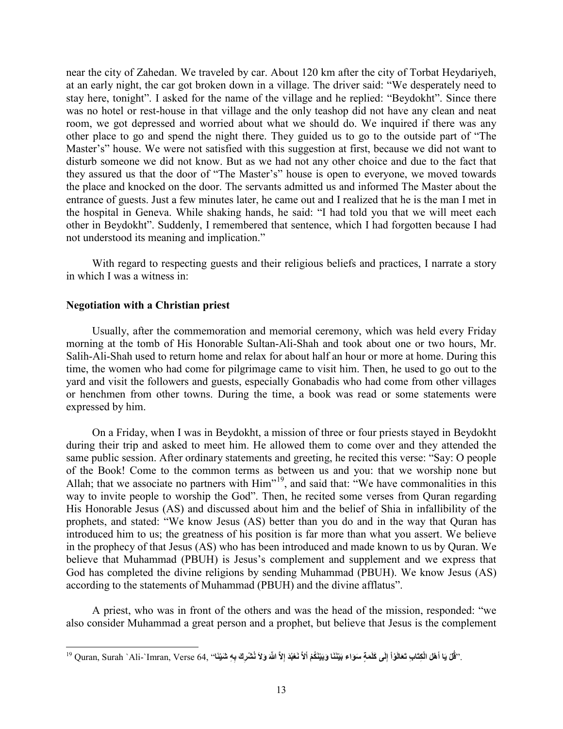near the city of Zahedan. We traveled by car. About 120 km after the city of Torbat Heydariyeh, at an early night, the car got broken down in a village. The driver said: "We desperately need to stay here, tonight". I asked for the name of the village and he replied: "Beydokht". Since there was no hotel or rest-house in that village and the only teashop did not have any clean and neat room, we got depressed and worried about what we should do. We inquired if there was any other place to go and spend the night there. They guided us to go to the outside part of "The Master's" house. We were not satisfied with this suggestion at first, because we did not want to disturb someone we did not know. But as we had not any other choice and due to the fact that they assured us that the door of "The Master's" house is open to everyone, we moved towards the place and knocked on the door. The servants admitted us and informed The Master about the entrance of guests. Just a few minutes later, he came out and I realized that he is the man I met in the hospital in Geneva. While shaking hands, he said: "I had told you that we will meet each other in Beydokht". Suddenly, I remembered that sentence, which I had forgotten because I had not understood its meaning and implication."

With regard to respecting guests and their religious beliefs and practices, I narrate a story in which I was a witness in:

#### **Negotiation with a Christian priest**

Usually, after the commemoration and memorial ceremony, which was held every Friday morning at the tomb of His Honorable Sultan-Ali-Shah and took about one or two hours, Mr. Salih-Ali-Shah used to return home and relax for about half an hour or more at home. During this time, the women who had come for pilgrimage came to visit him. Then, he used to go out to the yard and visit the followers and guests, especially Gonabadis who had come from other villages or henchmen from other towns. During the time, a book was read or some statements were expressed by him.

On a Friday, when I was in Beydokht, a mission of three or four priests stayed in Beydokht during their trip and asked to meet him. He allowed them to come over and they attended the same public session. After ordinary statements and greeting, he recited this verse: "Say: O people of the Book! Come to the common terms as between us and you: that we worship none but Allah; that we associate no partners with  $\text{Him}^{\{19\}}$  $\text{Him}^{\{19\}}$  $\text{Him}^{\{19\}}$ , and said that: "We have commonalities in this way to invite people to worship the God". Then, he recited some verses from Quran regarding His Honorable Jesus (AS) and discussed about him and the belief of Shia in infallibility of the prophets, and stated: "We know Jesus (AS) better than you do and in the way that Quran has introduced him to us; the greatness of his position is far more than what you assert. We believe in the prophecy of that Jesus (AS) who has been introduced and made known to us by Quran. We believe that Muhammad (PBUH) is Jesus's complement and supplement and we express that God has completed the divine religions by sending Muhammad (PBUH). We know Jesus (AS) according to the statements of Muhammad (PBUH) and the divine afflatus".

A priest, who was in front of the others and was the head of the mission, responded: "we also consider Muhammad a great person and a prophet, but believe that Jesus is the complement

<span id="page-12-0"></span><sup>.&#</sup>x27;'قُلْ يَا أَهْلَ الْكِتَابِ تَعَالَوْاْ إِلَى كَلَمَةٍ سَوَاء بَيْنَنَا وَبَيْنَكُمْ أَلاَّ نَعْبُدَ إِلاَّ اللّهَ وَلاَ نُشْرِكَ بِهِ شَيْئَا'' Quran, Surah `Ali-`Imran, Verse 64, ''فَلا يَا أَهْلَ اللّهَ وَلاَ نُشْرِك **َ**1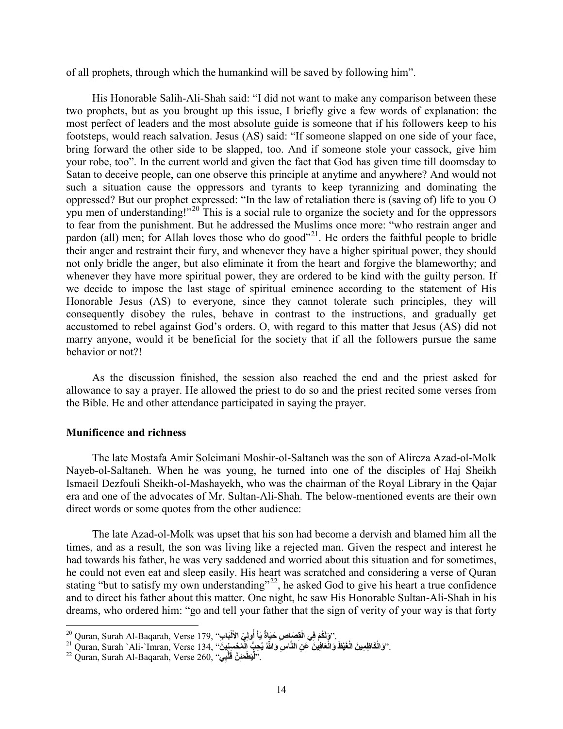of all prophets, through which the humankind will be saved by following him".

His Honorable Salih-Ali-Shah said: "I did not want to make any comparison between these two prophets, but as you brought up this issue, I briefly give a few words of explanation: the most perfect of leaders and the most absolute guide is someone that if his followers keep to his footsteps, would reach salvation. Jesus (AS) said: "If someone slapped on one side of your face, bring forward the other side to be slapped, too. And if someone stole your cassock, give him your robe, too". In the current world and given the fact that God has given time till doomsday to Satan to deceive people, can one observe this principle at anytime and anywhere? And would not such a situation cause the oppressors and tyrants to keep tyrannizing and dominating the oppressed? But our prophet expressed: "In the law of retaliation there is (saving of) life to you O ypu men of understanding!"<sup>[20](#page-13-0)</sup> This is a social rule to organize the society and for the oppressors to fear from the punishment. But he addressed the Muslims once more: "who restrain anger and pardon (all) men; for Allah loves those who do good<sup> $21$ </sup>. He orders the faithful people to bridle their anger and restraint their fury, and whenever they have a higher spiritual power, they should not only bridle the anger, but also eliminate it from the heart and forgive the blameworthy; and whenever they have more spiritual power, they are ordered to be kind with the guilty person. If we decide to impose the last stage of spiritual eminence according to the statement of His Honorable Jesus (AS) to everyone, since they cannot tolerate such principles, they will consequently disobey the rules, behave in contrast to the instructions, and gradually get accustomed to rebel against God's orders. O, with regard to this matter that Jesus (AS) did not marry anyone, would it be beneficial for the society that if all the followers pursue the same behavior or not?!

As the discussion finished, the session also reached the end and the priest asked for allowance to say a prayer. He allowed the priest to do so and the priest recited some verses from the Bible. He and other attendance participated in saying the prayer.

## **Munificence and richness**

The late Mostafa Amir Soleimani Moshir-ol-Saltaneh was the son of Alireza Azad-ol-Molk Nayeb-ol-Saltaneh. When he was young, he turned into one of the disciples of Haj Sheikh Ismaeil Dezfouli Sheikh-ol-Mashayekh, who was the chairman of the Royal Library in the Qajar era and one of the advocates of Mr. Sultan-Ali-Shah. The below-mentioned events are their own direct words or some quotes from the other audience:

The late Azad-ol-Molk was upset that his son had become a dervish and blamed him all the times, and as a result, the son was living like a rejected man. Given the respect and interest he had towards his father, he was very saddened and worried about this situation and for sometimes, he could not even eat and sleep easily. His heart was scratched and considering a verse of Quran stating "but to satisfy my own understanding"<sup>[22](#page-13-2)</sup>, he asked God to give his heart a true confidence and to direct his father about this matter. One night, he saw His Honorable Sultan-Ali-Shah in his dreams, who ordered him: "go and tell your father that the sign of verity of your way is that forty

كُمْ فِي الْقِصَاصِ حَيَاةٌ يَاْ أُولِي الأَلْبَابِ'' ,Quran, Surah Al-Baqarah, Verse 179 <sup>م</sup> **َل .** 

<span id="page-13-0"></span><sup>&</sup>lt;sup>20</sup> Quran, Surah Al-Baqarah, Verse 179, "وَلَكُمْ فِي الْقِصَاصِ حَيَاةً يَأْ أُولِيْ الأَلْبَابِ".<br><sup>21</sup> Quran, Surah `Ali-`Imran, Verse 134, "وَالْكَاظِمِينَ الْغَيْظَ وَالْغَافِينَ عَنِ النَّاسِ وَاللَّهُ يُحِبُّ الْمُ **ََّْ**

<span id="page-13-2"></span><span id="page-13-1"></span>**<sup>ْ</sup>ب َل ِ َّن ق َ ْط َمئ ِّی** ."**ل**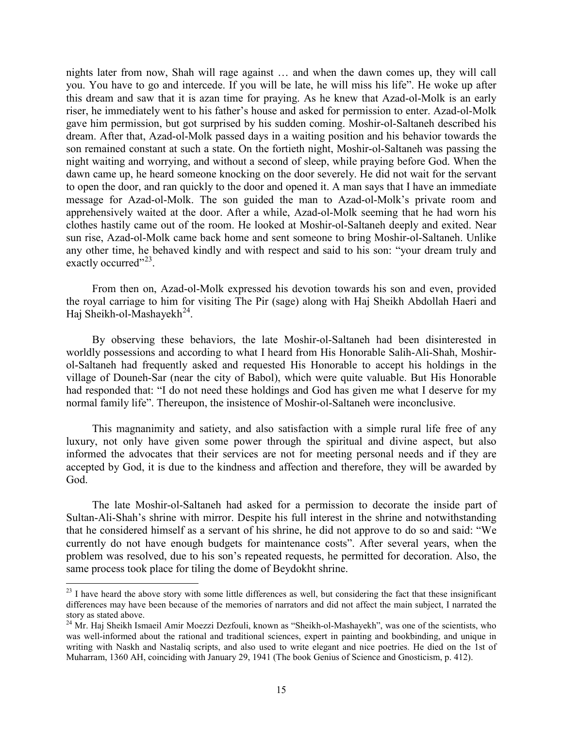nights later from now, Shah will rage against … and when the dawn comes up, they will call you. You have to go and intercede. If you will be late, he will miss his life". He woke up after this dream and saw that it is azan time for praying. As he knew that Azad-ol-Molk is an early riser, he immediately went to his father's house and asked for permission to enter. Azad-ol-Molk gave him permission, but got surprised by his sudden coming. Moshir-ol-Saltaneh described his dream. After that, Azad-ol-Molk passed days in a waiting position and his behavior towards the son remained constant at such a state. On the fortieth night, Moshir-ol-Saltaneh was passing the night waiting and worrying, and without a second of sleep, while praying before God. When the dawn came up, he heard someone knocking on the door severely. He did not wait for the servant to open the door, and ran quickly to the door and opened it. A man says that I have an immediate message for Azad-ol-Molk. The son guided the man to Azad-ol-Molk's private room and apprehensively waited at the door. After a while, Azad-ol-Molk seeming that he had worn his clothes hastily came out of the room. He looked at Moshir-ol-Saltaneh deeply and exited. Near sun rise, Azad-ol-Molk came back home and sent someone to bring Moshir-ol-Saltaneh. Unlike any other time, he behaved kindly and with respect and said to his son: "your dream truly and exactly occurred"<sup>23</sup>.

From then on, Azad-ol-Molk expressed his devotion towards his son and even, provided the royal carriage to him for visiting The Pir (sage) along with Haj Sheikh Abdollah Haeri and Haj Sheikh-ol-Mashayekh<sup>[24](#page-14-1)</sup>.

By observing these behaviors, the late Moshir-ol-Saltaneh had been disinterested in worldly possessions and according to what I heard from His Honorable Salih-Ali-Shah, Moshirol-Saltaneh had frequently asked and requested His Honorable to accept his holdings in the village of Douneh-Sar (near the city of Babol), which were quite valuable. But His Honorable had responded that: "I do not need these holdings and God has given me what I deserve for my normal family life". Thereupon, the insistence of Moshir-ol-Saltaneh were inconclusive.

This magnanimity and satiety, and also satisfaction with a simple rural life free of any luxury, not only have given some power through the spiritual and divine aspect, but also informed the advocates that their services are not for meeting personal needs and if they are accepted by God, it is due to the kindness and affection and therefore, they will be awarded by God.

The late Moshir-ol-Saltaneh had asked for a permission to decorate the inside part of Sultan-Ali-Shah's shrine with mirror. Despite his full interest in the shrine and notwithstanding that he considered himself as a servant of his shrine, he did not approve to do so and said: "We currently do not have enough budgets for maintenance costs". After several years, when the problem was resolved, due to his son's repeated requests, he permitted for decoration. Also, the same process took place for tiling the dome of Beydokht shrine.

1

<span id="page-14-0"></span> $2<sup>23</sup>$  I have heard the above story with some little differences as well, but considering the fact that these insignificant differences may have been because of the memories of narrators and did not affect the main subject, I narrated the story as stated above.

<span id="page-14-1"></span><sup>&</sup>lt;sup>24</sup> Mr. Haj Sheikh Ismaeil Amir Moezzi Dezfouli, known as "Sheikh-ol-Mashayekh", was one of the scientists, who was well-informed about the rational and traditional sciences, expert in painting and bookbinding, and unique in writing with Naskh and Nastaliq scripts, and also used to write elegant and nice poetries. He died on the 1st of Muharram, 1360 AH, coinciding with January 29, 1941 (The book Genius of Science and Gnosticism, p. 412).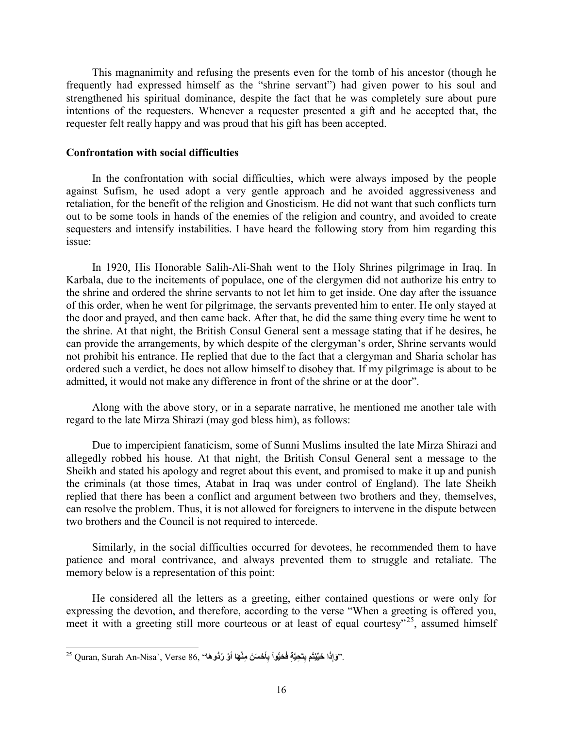This magnanimity and refusing the presents even for the tomb of his ancestor (though he frequently had expressed himself as the "shrine servant") had given power to his soul and strengthened his spiritual dominance, despite the fact that he was completely sure about pure intentions of the requesters. Whenever a requester presented a gift and he accepted that, the requester felt really happy and was proud that his gift has been accepted.

## **Confrontation with social difficulties**

In the confrontation with social difficulties, which were always imposed by the people against Sufism, he used adopt a very gentle approach and he avoided aggressiveness and retaliation, for the benefit of the religion and Gnosticism. He did not want that such conflicts turn out to be some tools in hands of the enemies of the religion and country, and avoided to create sequesters and intensify instabilities. I have heard the following story from him regarding this issue:

In 1920, His Honorable Salih-Ali-Shah went to the Holy Shrines pilgrimage in Iraq. In Karbala, due to the incitements of populace, one of the clergymen did not authorize his entry to the shrine and ordered the shrine servants to not let him to get inside. One day after the issuance of this order, when he went for pilgrimage, the servants prevented him to enter. He only stayed at the door and prayed, and then came back. After that, he did the same thing every time he went to the shrine. At that night, the British Consul General sent a message stating that if he desires, he can provide the arrangements, by which despite of the clergyman's order, Shrine servants would not prohibit his entrance. He replied that due to the fact that a clergyman and Sharia scholar has ordered such a verdict, he does not allow himself to disobey that. If my pilgrimage is about to be admitted, it would not make any difference in front of the shrine or at the door".

Along with the above story, or in a separate narrative, he mentioned me another tale with regard to the late Mirza Shirazi (may god bless him), as follows:

Due to impercipient fanaticism, some of Sunni Muslims insulted the late Mirza Shirazi and allegedly robbed his house. At that night, the British Consul General sent a message to the Sheikh and stated his apology and regret about this event, and promised to make it up and punish the criminals (at those times, Atabat in Iraq was under control of England). The late Sheikh replied that there has been a conflict and argument between two brothers and they, themselves, can resolve the problem. Thus, it is not allowed for foreigners to intervene in the dispute between two brothers and the Council is not required to intercede.

Similarly, in the social difficulties occurred for devotees, he recommended them to have patience and moral contrivance, and always prevented them to struggle and retaliate. The memory below is a representation of this point:

He considered all the letters as a greeting, either contained questions or were only for expressing the devotion, and therefore, according to the verse "When a greeting is offered you, meet it with a greeting still more courteous or at least of equal courtesy"<sup>[25](#page-15-0)</sup>, assumed himself

<span id="page-15-0"></span><sup>.&#</sup>x27;'وَإِذَا حُيِّيْتُم بِتَحِيَّةٍ فَحَيُّواْ بِأَحْسَنَ مِنْهَا أَوْ رُدُّوهَا'' ,Quran, Surah An-Nisa`, Verse 86 كَ **َََ**1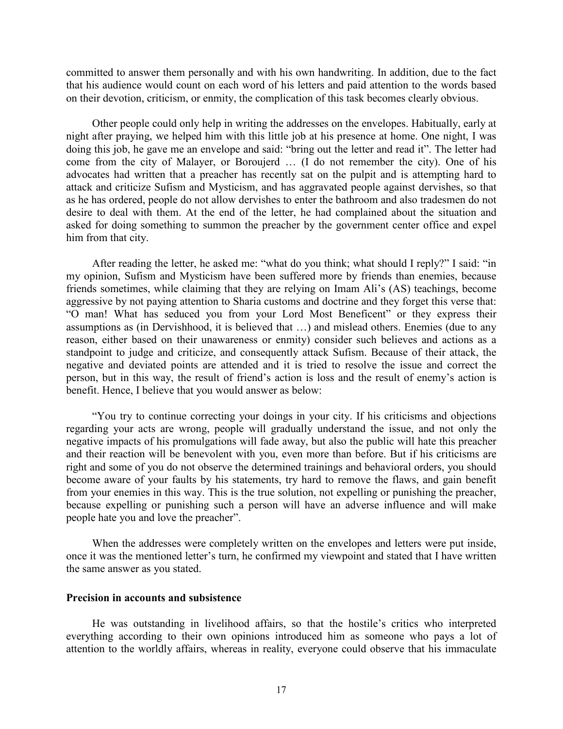committed to answer them personally and with his own handwriting. In addition, due to the fact that his audience would count on each word of his letters and paid attention to the words based on their devotion, criticism, or enmity, the complication of this task becomes clearly obvious.

Other people could only help in writing the addresses on the envelopes. Habitually, early at night after praying, we helped him with this little job at his presence at home. One night, I was doing this job, he gave me an envelope and said: "bring out the letter and read it". The letter had come from the city of Malayer, or Boroujerd … (I do not remember the city). One of his advocates had written that a preacher has recently sat on the pulpit and is attempting hard to attack and criticize Sufism and Mysticism, and has aggravated people against dervishes, so that as he has ordered, people do not allow dervishes to enter the bathroom and also tradesmen do not desire to deal with them. At the end of the letter, he had complained about the situation and asked for doing something to summon the preacher by the government center office and expel him from that city.

After reading the letter, he asked me: "what do you think; what should I reply?" I said: "in my opinion, Sufism and Mysticism have been suffered more by friends than enemies, because friends sometimes, while claiming that they are relying on Imam Ali's (AS) teachings, become aggressive by not paying attention to Sharia customs and doctrine and they forget this verse that: "O man! What has seduced you from your Lord Most Beneficent" or they express their assumptions as (in Dervishhood, it is believed that …) and mislead others. Enemies (due to any reason, either based on their unawareness or enmity) consider such believes and actions as a standpoint to judge and criticize, and consequently attack Sufism. Because of their attack, the negative and deviated points are attended and it is tried to resolve the issue and correct the person, but in this way, the result of friend's action is loss and the result of enemy's action is benefit. Hence, I believe that you would answer as below:

"You try to continue correcting your doings in your city. If his criticisms and objections regarding your acts are wrong, people will gradually understand the issue, and not only the negative impacts of his promulgations will fade away, but also the public will hate this preacher and their reaction will be benevolent with you, even more than before. But if his criticisms are right and some of you do not observe the determined trainings and behavioral orders, you should become aware of your faults by his statements, try hard to remove the flaws, and gain benefit from your enemies in this way. This is the true solution, not expelling or punishing the preacher, because expelling or punishing such a person will have an adverse influence and will make people hate you and love the preacher".

When the addresses were completely written on the envelopes and letters were put inside, once it was the mentioned letter's turn, he confirmed my viewpoint and stated that I have written the same answer as you stated.

#### **Precision in accounts and subsistence**

He was outstanding in livelihood affairs, so that the hostile's critics who interpreted everything according to their own opinions introduced him as someone who pays a lot of attention to the worldly affairs, whereas in reality, everyone could observe that his immaculate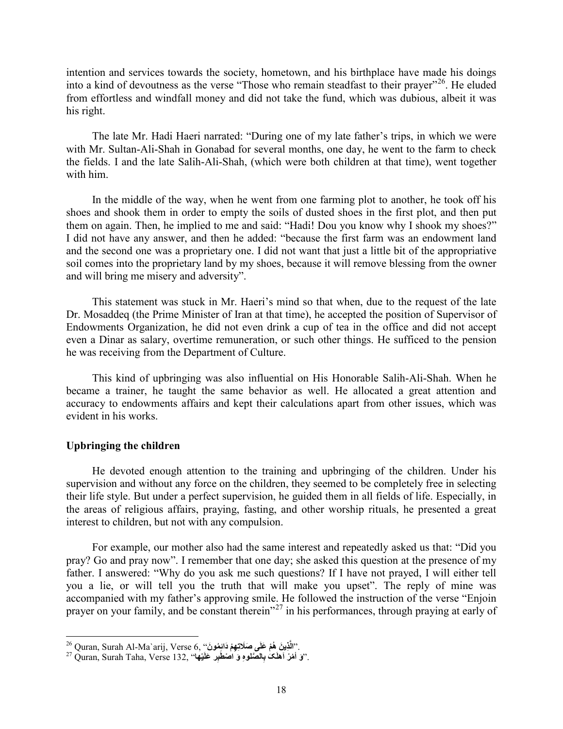intention and services towards the society, hometown, and his birthplace have made his doings into a kind of devoutness as the verse "Those who remain steadfast to their prayer"<sup>[26](#page-17-0)</sup>. He eluded from effortless and windfall money and did not take the fund, which was dubious, albeit it was his right.

The late Mr. Hadi Haeri narrated: "During one of my late father's trips, in which we were with Mr. Sultan-Ali-Shah in Gonabad for several months, one day, he went to the farm to check the fields. I and the late Salih-Ali-Shah, (which were both children at that time), went together with him.

In the middle of the way, when he went from one farming plot to another, he took off his shoes and shook them in order to empty the soils of dusted shoes in the first plot, and then put them on again. Then, he implied to me and said: "Hadi! Dou you know why I shook my shoes?" I did not have any answer, and then he added: "because the first farm was an endowment land and the second one was a proprietary one. I did not want that just a little bit of the appropriative soil comes into the proprietary land by my shoes, because it will remove blessing from the owner and will bring me misery and adversity".

This statement was stuck in Mr. Haeri's mind so that when, due to the request of the late Dr. Mosaddeq (the Prime Minister of Iran at that time), he accepted the position of Supervisor of Endowments Organization, he did not even drink a cup of tea in the office and did not accept even a Dinar as salary, overtime remuneration, or such other things. He sufficed to the pension he was receiving from the Department of Culture.

This kind of upbringing was also influential on His Honorable Salih-Ali-Shah. When he became a trainer, he taught the same behavior as well. He allocated a great attention and accuracy to endowments affairs and kept their calculations apart from other issues, which was evident in his works.

#### **Upbringing the children**

**.** 

He devoted enough attention to the training and upbringing of the children. Under his supervision and without any force on the children, they seemed to be completely free in selecting their life style. But under a perfect supervision, he guided them in all fields of life. Especially, in the areas of religious affairs, praying, fasting, and other worship rituals, he presented a great interest to children, but not with any compulsion.

For example, our mother also had the same interest and repeatedly asked us that: "Did you pray? Go and pray now". I remember that one day; she asked this question at the presence of my father. I answered: "Why do you ask me such questions? If I have not prayed, I will either tell you a lie, or will tell you the truth that will make you upset". The reply of mine was accompanied with my father's approving smile. He followed the instruction of the verse "Enjoin prayer on your family, and be constant therein"<sup>[27](#page-17-1)</sup> in his performances, through praying at early of

<span id="page-17-1"></span><span id="page-17-0"></span>

<sup>&</sup>lt;sup>26</sup> Quran, Surah Al-Ma`arij, Verse 6, "نالَّذينَ هُمْ عَلَى صَلَاتِهِمْ دَانِمُونَ".<br><sup>27</sup> Quran, Surah Taha, Verse 132, "وَ اَمْزَ اهْلَکَ بِالصَّلُوهِ وَ اَصْطَبِر عَلَيْهِه<sup>".</sup>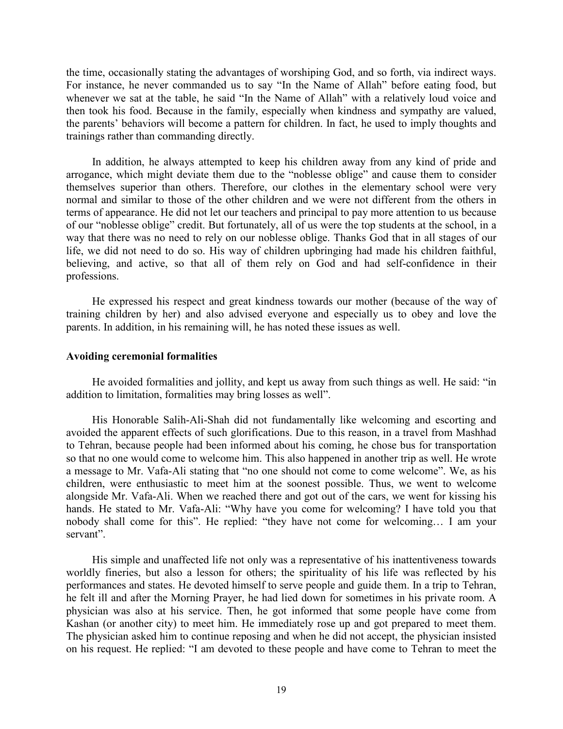the time, occasionally stating the advantages of worshiping God, and so forth, via indirect ways. For instance, he never commanded us to say "In the Name of Allah" before eating food, but whenever we sat at the table, he said "In the Name of Allah" with a relatively loud voice and then took his food. Because in the family, especially when kindness and sympathy are valued, the parents' behaviors will become a pattern for children. In fact, he used to imply thoughts and trainings rather than commanding directly.

In addition, he always attempted to keep his children away from any kind of pride and arrogance, which might deviate them due to the "noblesse oblige" and cause them to consider themselves superior than others. Therefore, our clothes in the elementary school were very normal and similar to those of the other children and we were not different from the others in terms of appearance. He did not let our teachers and principal to pay more attention to us because of our "noblesse oblige" credit. But fortunately, all of us were the top students at the school, in a way that there was no need to rely on our noblesse oblige. Thanks God that in all stages of our life, we did not need to do so. His way of children upbringing had made his children faithful, believing, and active, so that all of them rely on God and had self-confidence in their professions.

He expressed his respect and great kindness towards our mother (because of the way of training children by her) and also advised everyone and especially us to obey and love the parents. In addition, in his remaining will, he has noted these issues as well.

#### **Avoiding ceremonial formalities**

He avoided formalities and jollity, and kept us away from such things as well. He said: "in addition to limitation, formalities may bring losses as well".

His Honorable Salih-Ali-Shah did not fundamentally like welcoming and escorting and avoided the apparent effects of such glorifications. Due to this reason, in a travel from Mashhad to Tehran, because people had been informed about his coming, he chose bus for transportation so that no one would come to welcome him. This also happened in another trip as well. He wrote a message to Mr. Vafa-Ali stating that "no one should not come to come welcome". We, as his children, were enthusiastic to meet him at the soonest possible. Thus, we went to welcome alongside Mr. Vafa-Ali. When we reached there and got out of the cars, we went for kissing his hands. He stated to Mr. Vafa-Ali: "Why have you come for welcoming? I have told you that nobody shall come for this". He replied: "they have not come for welcoming… I am your servant".

His simple and unaffected life not only was a representative of his inattentiveness towards worldly fineries, but also a lesson for others; the spirituality of his life was reflected by his performances and states. He devoted himself to serve people and guide them. In a trip to Tehran, he felt ill and after the Morning Prayer, he had lied down for sometimes in his private room. A physician was also at his service. Then, he got informed that some people have come from Kashan (or another city) to meet him. He immediately rose up and got prepared to meet them. The physician asked him to continue reposing and when he did not accept, the physician insisted on his request. He replied: "I am devoted to these people and have come to Tehran to meet the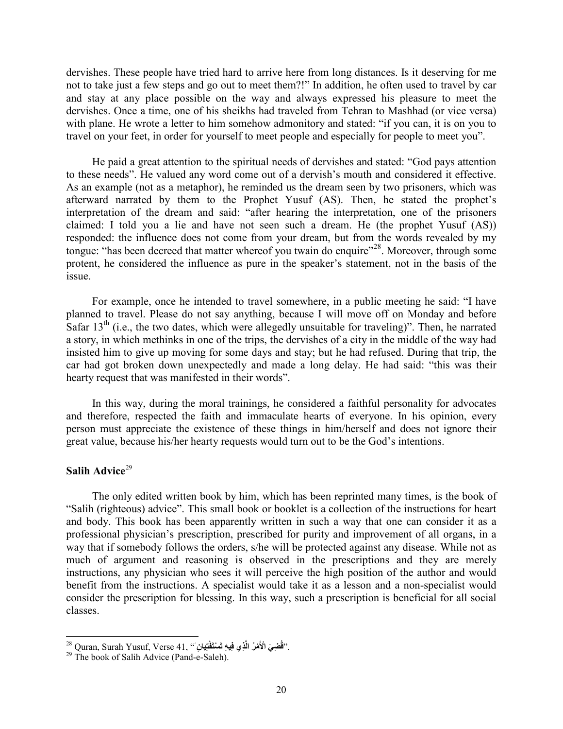dervishes. These people have tried hard to arrive here from long distances. Is it deserving for me not to take just a few steps and go out to meet them?!" In addition, he often used to travel by car and stay at any place possible on the way and always expressed his pleasure to meet the dervishes. Once a time, one of his sheikhs had traveled from Tehran to Mashhad (or vice versa) with plane. He wrote a letter to him somehow admonitory and stated: "if you can, it is on you to travel on your feet, in order for yourself to meet people and especially for people to meet you".

He paid a great attention to the spiritual needs of dervishes and stated: "God pays attention to these needs". He valued any word come out of a dervish's mouth and considered it effective. As an example (not as a metaphor), he reminded us the dream seen by two prisoners, which was afterward narrated by them to the Prophet Yusuf (AS). Then, he stated the prophet's interpretation of the dream and said: "after hearing the interpretation, one of the prisoners claimed: I told you a lie and have not seen such a dream. He (the prophet Yusuf (AS)) responded: the influence does not come from your dream, but from the words revealed by my tongue: "has been decreed that matter whereof you twain do enquire"<sup>28</sup>. Moreover, through some protent, he considered the influence as pure in the speaker's statement, not in the basis of the issue.

For example, once he intended to travel somewhere, in a public meeting he said: "I have planned to travel. Please do not say anything, because I will move off on Monday and before Safar  $13<sup>th</sup>$  (i.e., the two dates, which were allegedly unsuitable for traveling)". Then, he narrated a story, in which methinks in one of the trips, the dervishes of a city in the middle of the way had insisted him to give up moving for some days and stay; but he had refused. During that trip, the car had got broken down unexpectedly and made a long delay. He had said: "this was their hearty request that was manifested in their words".

In this way, during the moral trainings, he considered a faithful personality for advocates and therefore, respected the faith and immaculate hearts of everyone. In his opinion, every person must appreciate the existence of these things in him/herself and does not ignore their great value, because his/her hearty requests would turn out to be the God's intentions.

## **Salih Advice**<sup>[29](#page-19-1)</sup>

The only edited written book by him, which has been reprinted many times, is the book of "Salih (righteous) advice". This small book or booklet is a collection of the instructions for heart and body. This book has been apparently written in such a way that one can consider it as a professional physician's prescription, prescribed for purity and improvement of all organs, in a way that if somebody follows the orders, s/he will be protected against any disease. While not as much of argument and reasoning is observed in the prescriptions and they are merely instructions, any physician who sees it will perceive the high position of the author and would benefit from the instructions. A specialist would take it as a lesson and a non-specialist would consider the prescription for blessing. In this way, such a prescription is beneficial for all social classes.

<sup>28</sup> Quran, Surah Yusuf, Verse 41, "**َ یان ِ ِ َ ْفت َ ْست ِ ِیھ ت َّ ِذي ف ْم ُر ال ِض َي ْ الأ َ ُ.** 

<span id="page-19-1"></span><span id="page-19-0"></span><sup>&</sup>lt;sup>29</sup> The book of Salih Advice (Pand-e-Saleh).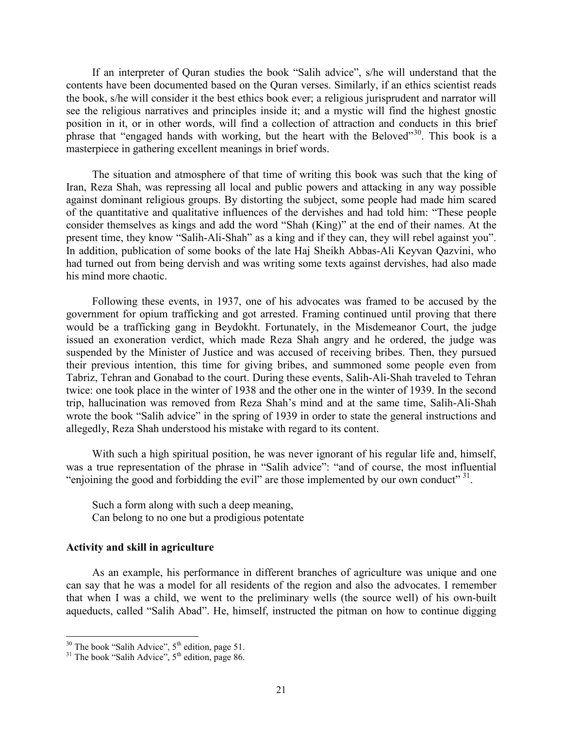If an interpreter of Quran studies the book "Salih advice", s/he will understand that the contents have been documented based on the Quran verses. Similarly, if an ethics scientist reads the book, s/he will consider it the best ethics book ever; a religious jurisprudent and narrator will see the religious narratives and principles inside it; and a mystic will find the highest gnostic position in it, or in other words, will find a collection of attraction and conducts in this brief phrase that "engaged hands with working, but the heart with the Beloved"[30](#page-20-0). This book is a masterpiece in gathering excellent meanings in brief words.

The situation and atmosphere of that time of writing this book was such that the king of Iran, Reza Shah, was repressing all local and public powers and attacking in any way possible against dominant religious groups. By distorting the subject, some people had made him scared of the quantitative and qualitative influences of the dervishes and had told him: "These people consider themselves as kings and add the word "Shah (King)" at the end of their names. At the present time, they know "Salih-Ali-Shah" as a king and if they can, they will rebel against you". In addition, publication of some books of the late Haj Sheikh Abbas-Ali Keyvan Qazvini, who had turned out from being dervish and was writing some texts against dervishes, had also made his mind more chaotic.

Following these events, in 1937, one of his advocates was framed to be accused by the government for opium trafficking and got arrested. Framing continued until proving that there would be a trafficking gang in Beydokht. Fortunately, in the Misdemeanor Court, the judge issued an exoneration verdict, which made Reza Shah angry and he ordered, the judge was suspended by the Minister of Justice and was accused of receiving bribes. Then, they pursued their previous intention, this time for giving bribes, and summoned some people even from Tabriz, Tehran and Gonabad to the court. During these events, Salih-Ali-Shah traveled to Tehran twice: one took place in the winter of 1938 and the other one in the winter of 1939. In the second trip, hallucination was removed from Reza Shah's mind and at the same time, Salih-Ali-Shah wrote the book "Salih advice" in the spring of 1939 in order to state the general instructions and allegedly, Reza Shah understood his mistake with regard to its content.

With such a high spiritual position, he was never ignorant of his regular life and, himself, was a true representation of the phrase in "Salih advice": "and of course, the most influential "enjoining the good and forbidding the evil" are those implemented by our own conduct"  $31$ .

Such a form along with such a deep meaning, Can belong to no one but a prodigious potentate

#### **Activity and skill in agriculture**

As an example, his performance in different branches of agriculture was unique and one can say that he was a model for all residents of the region and also the advocates. I remember that when I was a child, we went to the preliminary wells (the source well) of his own-built aqueducts, called "Salih Abad". He, himself, instructed the pitman on how to continue digging

**.** 

<span id="page-20-0"></span><sup>&</sup>lt;sup>30</sup> The book "Salih Advice",  $5<sup>th</sup>$  edition, page 51.<br><sup>31</sup> The book "Salih Advice",  $5<sup>th</sup>$  edition, page 86.

<span id="page-20-1"></span>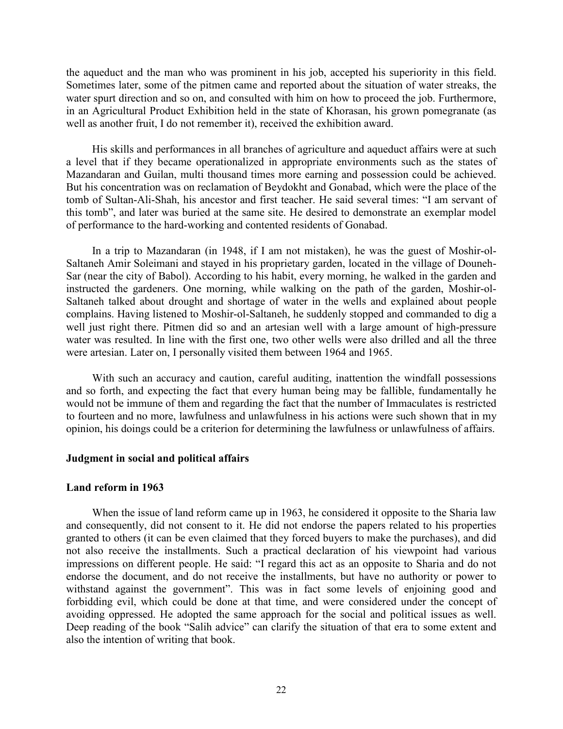the aqueduct and the man who was prominent in his job, accepted his superiority in this field. Sometimes later, some of the pitmen came and reported about the situation of water streaks, the water spurt direction and so on, and consulted with him on how to proceed the job. Furthermore, in an Agricultural Product Exhibition held in the state of Khorasan, his grown pomegranate (as well as another fruit, I do not remember it), received the exhibition award.

His skills and performances in all branches of agriculture and aqueduct affairs were at such a level that if they became operationalized in appropriate environments such as the states of Mazandaran and Guilan, multi thousand times more earning and possession could be achieved. But his concentration was on reclamation of Beydokht and Gonabad, which were the place of the tomb of Sultan-Ali-Shah, his ancestor and first teacher. He said several times: "I am servant of this tomb", and later was buried at the same site. He desired to demonstrate an exemplar model of performance to the hard-working and contented residents of Gonabad.

In a trip to Mazandaran (in 1948, if I am not mistaken), he was the guest of Moshir-ol-Saltaneh Amir Soleimani and stayed in his proprietary garden, located in the village of Douneh-Sar (near the city of Babol). According to his habit, every morning, he walked in the garden and instructed the gardeners. One morning, while walking on the path of the garden, Moshir-ol-Saltaneh talked about drought and shortage of water in the wells and explained about people complains. Having listened to Moshir-ol-Saltaneh, he suddenly stopped and commanded to dig a well just right there. Pitmen did so and an artesian well with a large amount of high-pressure water was resulted. In line with the first one, two other wells were also drilled and all the three were artesian. Later on, I personally visited them between 1964 and 1965.

With such an accuracy and caution, careful auditing, inattention the windfall possessions and so forth, and expecting the fact that every human being may be fallible, fundamentally he would not be immune of them and regarding the fact that the number of Immaculates is restricted to fourteen and no more, lawfulness and unlawfulness in his actions were such shown that in my opinion, his doings could be a criterion for determining the lawfulness or unlawfulness of affairs.

## **Judgment in social and political affairs**

## **Land reform in 1963**

When the issue of land reform came up in 1963, he considered it opposite to the Sharia law and consequently, did not consent to it. He did not endorse the papers related to his properties granted to others (it can be even claimed that they forced buyers to make the purchases), and did not also receive the installments. Such a practical declaration of his viewpoint had various impressions on different people. He said: "I regard this act as an opposite to Sharia and do not endorse the document, and do not receive the installments, but have no authority or power to withstand against the government". This was in fact some levels of enjoining good and forbidding evil, which could be done at that time, and were considered under the concept of avoiding oppressed. He adopted the same approach for the social and political issues as well. Deep reading of the book "Salih advice" can clarify the situation of that era to some extent and also the intention of writing that book.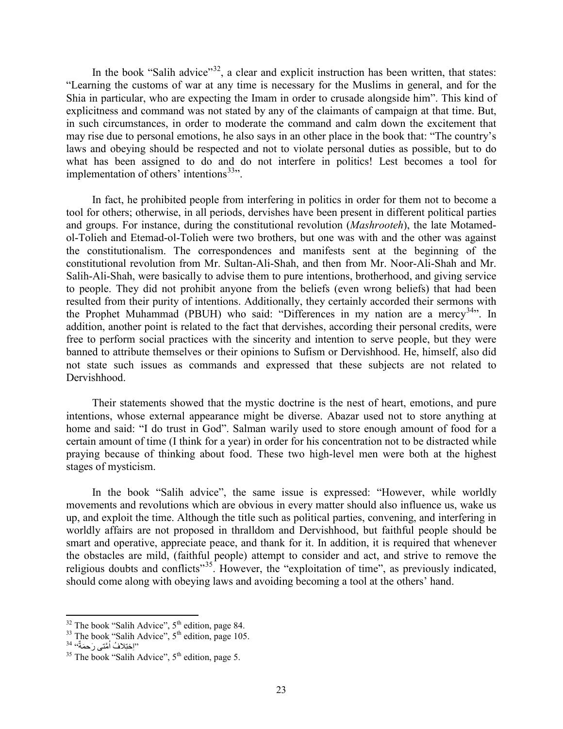In the book "Salih advice"<sup>[32](#page-22-0)</sup>, a clear and explicit instruction has been written, that states: "Learning the customs of war at any time is necessary for the Muslims in general, and for the Shia in particular, who are expecting the Imam in order to crusade alongside him". This kind of explicitness and command was not stated by any of the claimants of campaign at that time. But, in such circumstances, in order to moderate the command and calm down the excitement that may rise due to personal emotions, he also says in an other place in the book that: "The country's laws and obeying should be respected and not to violate personal duties as possible, but to do what has been assigned to do and do not interfere in politics! Lest becomes a tool for implementation of others' intentions $33$ ".

In fact, he prohibited people from interfering in politics in order for them not to become a tool for others; otherwise, in all periods, dervishes have been present in different political parties and groups. For instance, during the constitutional revolution (*Mashrooteh*), the late Motamedol-Tolieh and Etemad-ol-Tolieh were two brothers, but one was with and the other was against the constitutionalism. The correspondences and manifests sent at the beginning of the constitutional revolution from Mr. Sultan-Ali-Shah, and then from Mr. Noor-Ali-Shah and Mr. Salih-Ali-Shah, were basically to advise them to pure intentions, brotherhood, and giving service to people. They did not prohibit anyone from the beliefs (even wrong beliefs) that had been resulted from their purity of intentions. Additionally, they certainly accorded their sermons with the Prophet Muhammad (PBUH) who said: "Differences in my nation are a mercy<sup>34,"</sup>. In addition, another point is related to the fact that dervishes, according their personal credits, were free to perform social practices with the sincerity and intention to serve people, but they were banned to attribute themselves or their opinions to Sufism or Dervishhood. He, himself, also did not state such issues as commands and expressed that these subjects are not related to Dervishhood.

Their statements showed that the mystic doctrine is the nest of heart, emotions, and pure intentions, whose external appearance might be diverse. Abazar used not to store anything at home and said: "I do trust in God". Salman warily used to store enough amount of food for a certain amount of time (I think for a year) in order for his concentration not to be distracted while praying because of thinking about food. These two high-level men were both at the highest stages of mysticism.

In the book "Salih advice", the same issue is expressed: "However, while worldly movements and revolutions which are obvious in every matter should also influence us, wake us up, and exploit the time. Although the title such as political parties, convening, and interfering in worldly affairs are not proposed in thralldom and Dervishhood, but faithful people should be smart and operative, appreciate peace, and thank for it. In addition, it is required that whenever the obstacles are mild, (faithful people) attempt to consider and act, and strive to remove the religious doubts and conflicts<sup>"[35](#page-22-3)</sup>. However, the "exploitation of time", as previously indicated, should come along with obeying laws and avoiding becoming a tool at the others' hand.

**.** 

<span id="page-22-0"></span><sup>&</sup>lt;sup>32</sup> The book "Salih Advice", 5<sup>th</sup> edition, page 84.<br><sup>33</sup> The book "Salih Advice", 5<sup>th</sup> edition, page 105.<br>باختِلافُ اُمَّتَى رَحمَّةٌ "

<span id="page-22-1"></span>

<sup>ُ</sup>

<span id="page-22-3"></span><span id="page-22-2"></span> $35$  The book "Salih Advice",  $5<sup>th</sup>$  edition, page 5.